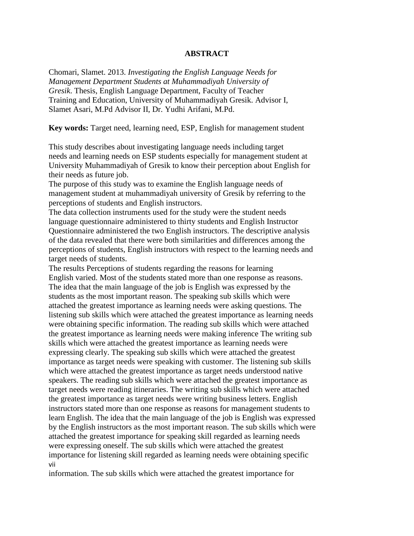## **ABSTRACT**

Chomari, Slamet. 2013. *Investigating the English Language Needs for Management Department Students at Muhammadiyah University of Gresik*. Thesis, English Language Department, Faculty of Teacher Training and Education, University of Muhammadiyah Gresik. Advisor I, Slamet Asari, M.Pd Advisor II, Dr. Yudhi Arifani, M.Pd.

**Key words:** Target need, learning need, ESP, English for management student

This study describes about investigating language needs including target needs and learning needs on ESP students especially for management student at University Muhammadiyah of Gresik to know their perception about English for their needs as future job.

The purpose of this study was to examine the English language needs of management student at muhammadiyah university of Gresik by referring to the perceptions of students and English instructors.

The data collection instruments used for the study were the student needs language questionnaire administered to thirty students and English Instructor Questionnaire administered the two English instructors. The descriptive analysis of the data revealed that there were both similarities and differences among the perceptions of students, English instructors with respect to the learning needs and target needs of students.

The results Perceptions of students regarding the reasons for learning English varied. Most of the students stated more than one response as reasons. The idea that the main language of the job is English was expressed by the students as the most important reason. The speaking sub skills which were attached the greatest importance as learning needs were asking questions. The listening sub skills which were attached the greatest importance as learning needs were obtaining specific information. The reading sub skills which were attached the greatest importance as learning needs were making inference The writing sub skills which were attached the greatest importance as learning needs were expressing clearly. The speaking sub skills which were attached the greatest importance as target needs were speaking with customer. The listening sub skills which were attached the greatest importance as target needs understood native speakers. The reading sub skills which were attached the greatest importance as target needs were reading itineraries. The writing sub skills which were attached the greatest importance as target needs were writing business letters. English instructors stated more than one response as reasons for management students to learn English. The idea that the main language of the job is English was expressed by the English instructors as the most important reason. The sub skills which were attached the greatest importance for speaking skill regarded as learning needs were expressing oneself. The sub skills which were attached the greatest importance for listening skill regarded as learning needs were obtaining specific vii

information. The sub skills which were attached the greatest importance for